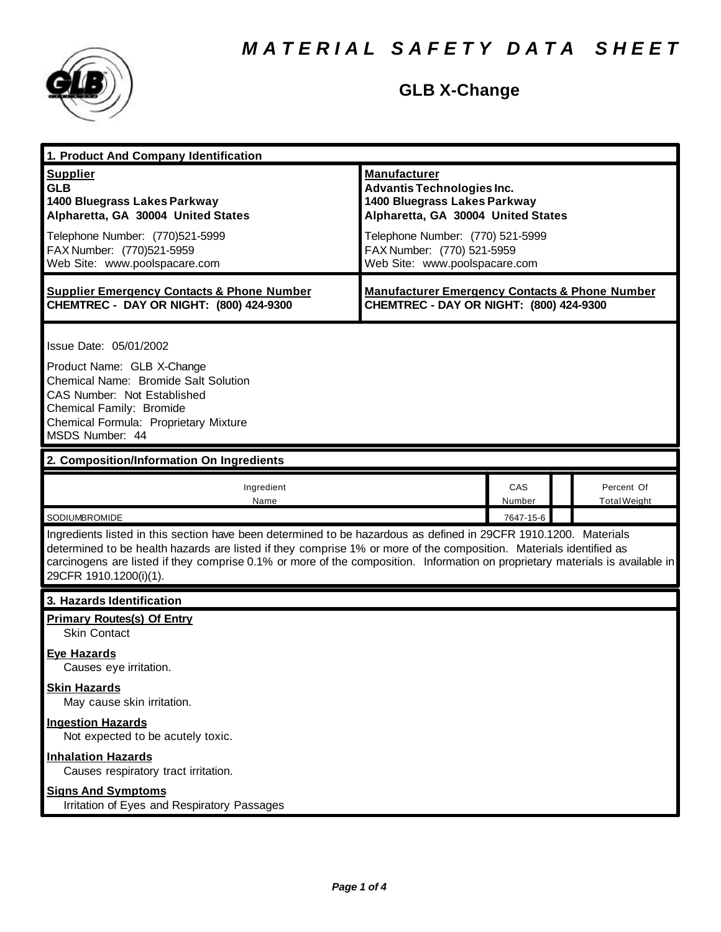

# **GLB X-Change**

| 1. Product And Company Identification                                                                                                                                                                                                                                                                                                                                                             |                                                                                                                                |               |  |                                   |  |
|---------------------------------------------------------------------------------------------------------------------------------------------------------------------------------------------------------------------------------------------------------------------------------------------------------------------------------------------------------------------------------------------------|--------------------------------------------------------------------------------------------------------------------------------|---------------|--|-----------------------------------|--|
| <b>Supplier</b><br><b>GLB</b><br>1400 Bluegrass Lakes Parkway<br>Alpharetta, GA 30004 United States                                                                                                                                                                                                                                                                                               | <b>Manufacturer</b><br><b>Advantis Technologies Inc.</b><br>1400 Bluegrass Lakes Parkway<br>Alpharetta, GA 30004 United States |               |  |                                   |  |
| Telephone Number: (770)521-5999<br>FAX Number: (770)521-5959<br>Web Site: www.poolspacare.com                                                                                                                                                                                                                                                                                                     | Telephone Number: (770) 521-5999<br>FAX Number: (770) 521-5959<br>Web Site: www.poolspacare.com                                |               |  |                                   |  |
| <b>Supplier Emergency Contacts &amp; Phone Number</b><br>CHEMTREC - DAY OR NIGHT: (800) 424-9300                                                                                                                                                                                                                                                                                                  | <b>Manufacturer Emergency Contacts &amp; Phone Number</b><br>CHEMTREC - DAY OR NIGHT: (800) 424-9300                           |               |  |                                   |  |
| Issue Date: 05/01/2002<br>Product Name: GLB X-Change<br>Chemical Name: Bromide Salt Solution<br>CAS Number: Not Established<br>Chemical Family: Bromide<br>Chemical Formula: Proprietary Mixture<br>MSDS Number: 44                                                                                                                                                                               |                                                                                                                                |               |  |                                   |  |
| 2. Composition/Information On Ingredients                                                                                                                                                                                                                                                                                                                                                         |                                                                                                                                |               |  |                                   |  |
| Ingredient<br>Name                                                                                                                                                                                                                                                                                                                                                                                |                                                                                                                                | CAS<br>Number |  | Percent Of<br><b>Total Weight</b> |  |
| SODIUMBROMIDE<br>7647-15-6                                                                                                                                                                                                                                                                                                                                                                        |                                                                                                                                |               |  |                                   |  |
| Ingredients listed in this section have been determined to be hazardous as defined in 29CFR 1910.1200. Materials<br>determined to be health hazards are listed if they comprise 1% or more of the composition. Materials identified as<br>carcinogens are listed if they comprise 0.1% or more of the composition. Information on proprietary materials is available in<br>29CFR 1910.1200(i)(1). |                                                                                                                                |               |  |                                   |  |
| 3. Hazards Identification                                                                                                                                                                                                                                                                                                                                                                         |                                                                                                                                |               |  |                                   |  |
| <b>Primary Routes(s) Of Entry</b><br>Skin Contact                                                                                                                                                                                                                                                                                                                                                 |                                                                                                                                |               |  |                                   |  |
| <b>Eye Hazards</b><br>Causes eye irritation.                                                                                                                                                                                                                                                                                                                                                      |                                                                                                                                |               |  |                                   |  |
| <b>Skin Hazards</b><br>May cause skin irritation.                                                                                                                                                                                                                                                                                                                                                 |                                                                                                                                |               |  |                                   |  |
| <b>Ingestion Hazards</b><br>Not expected to be acutely toxic.                                                                                                                                                                                                                                                                                                                                     |                                                                                                                                |               |  |                                   |  |
| <b>Inhalation Hazards</b><br>Causes respiratory tract irritation.                                                                                                                                                                                                                                                                                                                                 |                                                                                                                                |               |  |                                   |  |
| <b>Signs And Symptoms</b><br>Irritation of Eyes and Respiratory Passages                                                                                                                                                                                                                                                                                                                          |                                                                                                                                |               |  |                                   |  |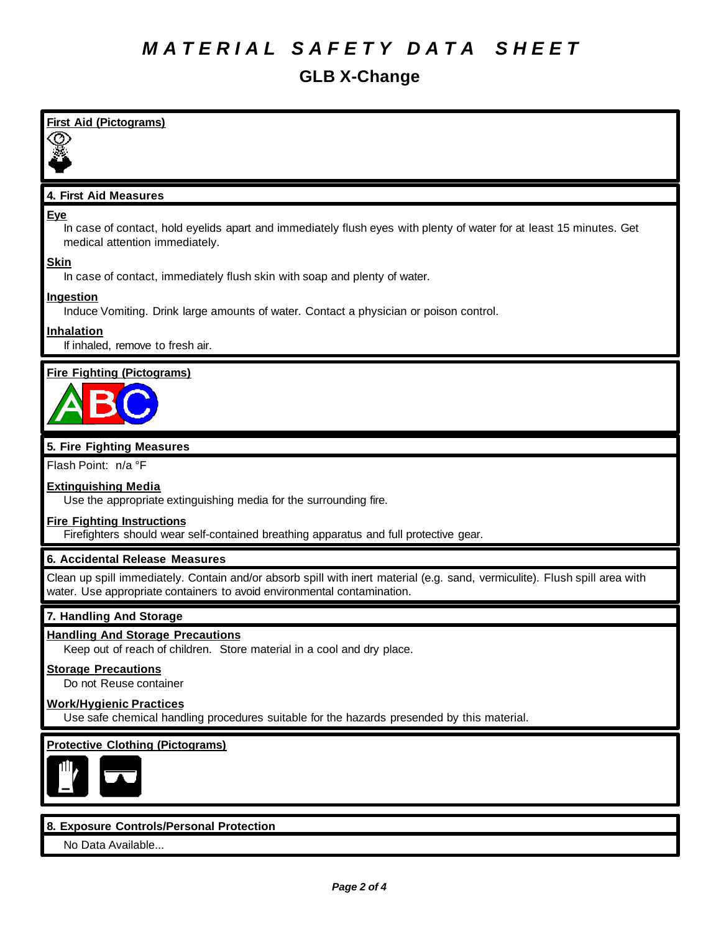#### *M A T E R I A L S A F E T Y D A T A S H E E T*

#### **GLB X-Change**

# **First Aid (Pictograms)** 19. **4. First Aid Measures Eye** In case of contact, hold eyelids apart and immediately flush eyes with plenty of water for at least 15 minutes. Get medical attention immediately. **Skin** In case of contact, immediately flush skin with soap and plenty of water. **Ingestion** Induce Vomiting. Drink large amounts of water. Contact a physician or poison control. **Inhalation** If inhaled, remove to fresh air. **Fire Fighting (Pictograms) 5. Fire Fighting Measures** Flash Point: n/a °F **Extinguishing Media** Use the appropriate extinguishing media for the surrounding fire. **Fire Fighting Instructions** Firefighters should wear self-contained breathing apparatus and full protective gear. **6. Accidental Release Measures** Clean up spill immediately. Contain and/or absorb spill with inert material (e.g. sand, vermiculite). Flush spill area with water. Use appropriate containers to avoid environmental contamination. **7. Handling And Storage Handling And Storage Precautions** Keep out of reach of children. Store material in a cool and dry place. **Storage Precautions** Do not Reuse container **Work/Hygienic Practices** Use safe chemical handling procedures suitable for the hazards presended by this material. **Protective Clothing (Pictograms) 8. Exposure Controls/Personal Protection**

No Data Available...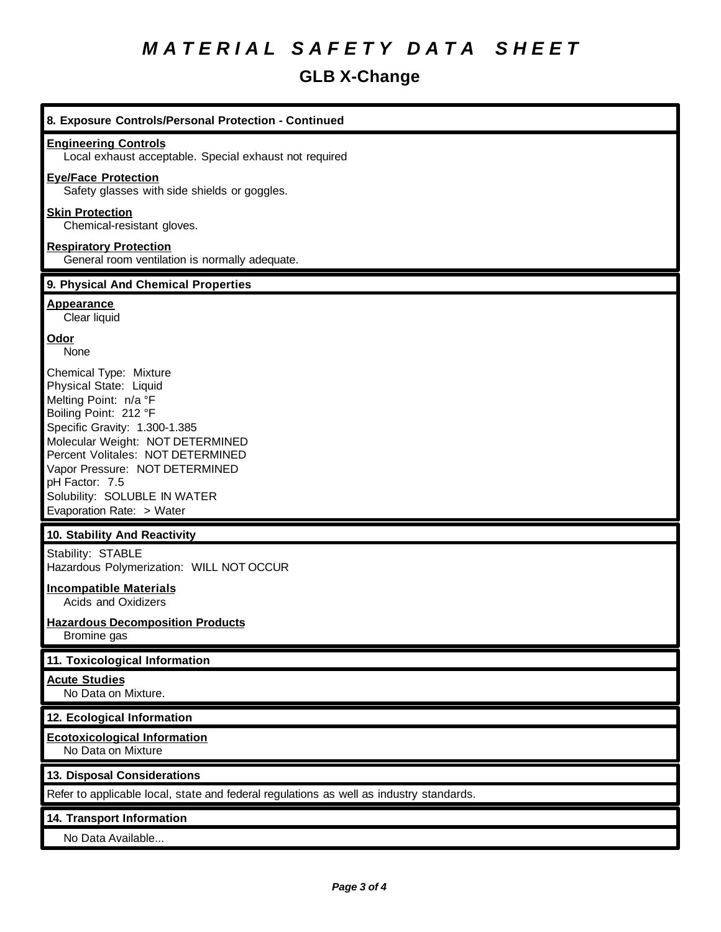# *M A T E R I A L S A F E T Y D A T A S H E E T*

### **GLB X-Change**

| 8. Exposure Controls/Personal Protection - Continued                                                                                                                                                                                                                                                                          |
|-------------------------------------------------------------------------------------------------------------------------------------------------------------------------------------------------------------------------------------------------------------------------------------------------------------------------------|
| <b>Engineering Controls</b><br>Local exhaust acceptable. Special exhaust not required                                                                                                                                                                                                                                         |
| <b>Eye/Face Protection</b><br>Safety glasses with side shields or goggles.                                                                                                                                                                                                                                                    |
| <b>Skin Protection</b><br>Chemical-resistant gloves.                                                                                                                                                                                                                                                                          |
| <b>Respiratory Protection</b><br>General room ventilation is normally adequate.                                                                                                                                                                                                                                               |
| 9. Physical And Chemical Properties                                                                                                                                                                                                                                                                                           |
| <b>Appearance</b><br>Clear liquid                                                                                                                                                                                                                                                                                             |
| Odor<br>None                                                                                                                                                                                                                                                                                                                  |
| Chemical Type: Mixture<br>Physical State: Liquid<br>Melting Point: n/a °F<br>Boiling Point: 212 °F<br>Specific Gravity: 1.300-1.385<br>Molecular Weight: NOT DETERMINED<br>Percent Volitales: NOT DETERMINED<br>Vapor Pressure: NOT DETERMINED<br>pH Factor: 7.5<br>Solubility: SOLUBLE IN WATER<br>Evaporation Rate: > Water |
| 10. Stability And Reactivity                                                                                                                                                                                                                                                                                                  |
| Stability: STABLE<br>Hazardous Polymerization: WILL NOT OCCUR                                                                                                                                                                                                                                                                 |
| <b>Incompatible Materials</b><br>Acids and Oxidizers                                                                                                                                                                                                                                                                          |
| <b>Hazardous Decomposition Products</b><br>Bromine gas                                                                                                                                                                                                                                                                        |
| 11. Toxicological Information                                                                                                                                                                                                                                                                                                 |
| <b>Acute Studies</b><br>No Data on Mixture.                                                                                                                                                                                                                                                                                   |
| 12. Ecological Information                                                                                                                                                                                                                                                                                                    |
| <b>Ecotoxicological Information</b><br>No Data on Mixture                                                                                                                                                                                                                                                                     |
| 13. Disposal Considerations                                                                                                                                                                                                                                                                                                   |
| Refer to applicable local, state and federal regulations as well as industry standards.                                                                                                                                                                                                                                       |
| 14. Transport Information                                                                                                                                                                                                                                                                                                     |
| No Data Available                                                                                                                                                                                                                                                                                                             |